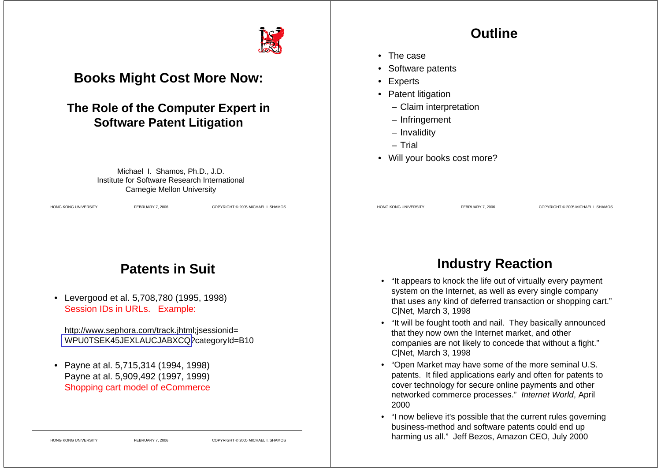

#### **Books Might Cost More Now:**

#### **The Role of the Computer Expert in Software Patent Litigation**

Michael I. Shamos, Ph.D., J.D. Institute for Software Research International Carnegie Mellon University

HONG KONG UNIVERSITY FEBRUARY 7, 2006 COPYRIGHT © 2005 MICHAEL I. SHAMOS

#### **Outline**

- The case
- Software patents
- •Experts
- Patent litigation
	- Claim interpretation
	- Infringement
	- Invalidity
	- Trial
- Will your books cost more?

# **Patents in Suit**

• Levergood et al. 5,708,780 (1995, 1998) Session IDs in URLs. Example:

http://www.sephora.com/track.jhtml;jsessionid= WPU0TSEK45JEXLAUCJABXCQ?categoryId=B10

• Payne at al. 5,715,314 (1994, 1998) Payne at al. 5,909,492 (1997, 1999) Shopping cart model of eCommerce

#### **Industry Reaction**

HONG KONG UNIVERSITY FEBRUARY 7, 2006 COPYRIGHT © 2005 MICHAEL I. SHAMOS

- "It appears to knock the life out of virtually every payment system on the Internet, as well as every single company that uses any kind of deferred transaction or shopping cart." C|Net, March 3, 1998
- "It will be fought tooth and nail. They basically announced that they now own the Internet market, and other companies are not likely to concede that without a fight." C|Net, March 3, 1998
- "Open Market may have some of the more seminal U.S. patents. It filed applications early and often for patents to cover technology for secure online payments and other networked commerce processes." *Internet World*, April 2000
- "I now believe it's possible that the current rules governing business-method and software patents could end up harming us all." Jeff Bezos, Amazon CEO, July 2000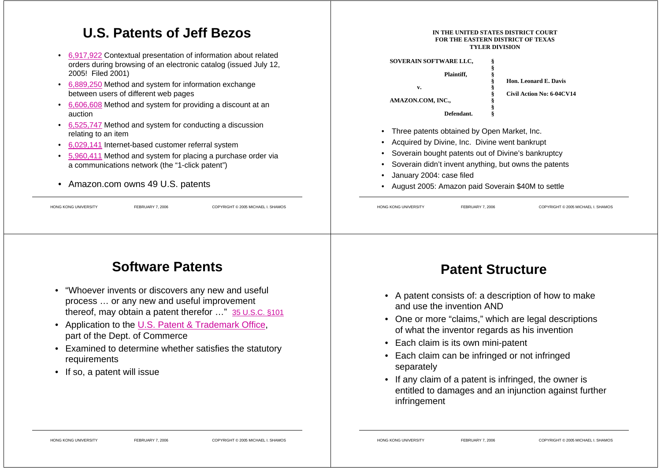#### **U.S. Patents of Jeff Bezos**

- 6,917,922 Contextual presentation of information about related orders during browsing of an electronic catalog (issued July 12, 2005! Filed 2001)
- 6,889,250 Method and system for information exchange between users of different web pages
- 6,606,608 Method and system for providing a discount at an auction
- 6,525,747 Method and system for conducting a discussion relating to an item
- •6,029,141 Internet-based customer referral system
- • 5,960,411 Method and system for placing a purchase order via a communications network (the "1-click patent")
- Amazon.com owns 49 U.S. patents

HONG KONG UNIVERSITY FEBRUARY 7, 2006 COPYRIGHT © 2005 MICHAEL I. SHAMOS

**FOR THE EASTERN DISTRICT OF TEXASTYLER DIVISIONSOVERAIN SOFTWARE LLC, § § Plaintiff, § § Hon. Leonard E. Davis v. § § Civil Action No: 6-04CV14 AMAZON.COM, INC., § § Defendant. §**

**IN THE UNITED STATES DISTRICT COURT**

- •Three patents obtained by Open Market, Inc.
- •Acquired by Divine, Inc. Divine went bankrupt
- •Soverain bought patents out of Divine's bankruptcy
- •Soverain didn't invent anything, but owns the patents
- •January 2004: case filed
- •August 2005: Amazon paid Soverain \$40M to settle

HONG KONG UNIVERSITY FEBRUARY 7, 2006 COPYRIGHT © 2005 MICHAEL I. SHAMOS

## **Software Patents**

- • "Whoever invents or discovers any new and useful process … or any new and useful improvement thereof, may obtain a patent therefor …" 35 U.S.C. §101
- Application to the U.S. Patent & Trademark Office, part of the Dept. of Commerce
- Examined to determine whether satisfies the statutory requirements
- If so, a patent will issue

#### **Patent Structure**

- A patent consists of: a description of how to make and use the invention AND
- One or more "claims," which are legal descriptions of what the inventor regards as his invention
- Each claim is its own mini-patent
- Each claim can be infringed or not infringed separately
- If any claim of a patent is infringed, the owner is entitled to damages and an injunction against further infringement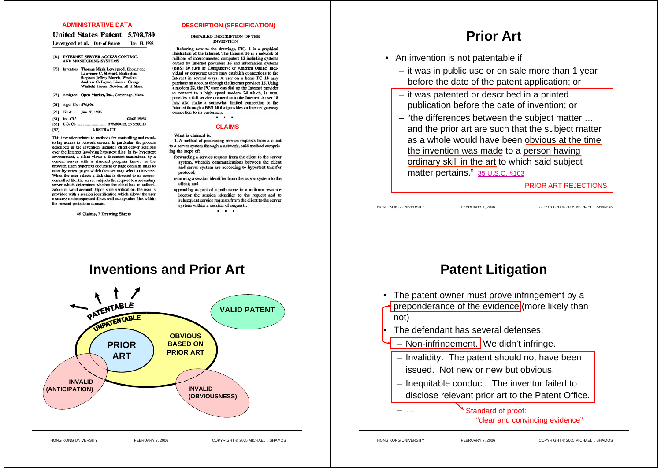#### **ADMINISTRATIVE DATA**

#### **United States Patent 5.708.780**

Levergood et al. Date of Patent: Jan. 13, 1998

#### [54] INTERNET SERVER ACCESS CONTROL AND MONITORING SYSTEMS

[75] Inventors: Thomas Mark Levergood, Hopkinton; Lawrence C. Stewart. Burlington; Stephen Jeffrey Morris, Westford; Andrew C. Payne, Lincoln; George<br>Winfield Treese, Newton, all of Mass.

[73] Assignee: Open Market, Inc., Cambridge, Mass.

[21] Appl. No.: 474,096

| $[22]$ Filed: | Jun. 7, 1995 |
|---------------|--------------|
|               |              |

| [57] | <b>ABSTRACT</b> |  |  |
|------|-----------------|--|--|

This invention relates to methods for controlling and monitoring access to network servers. In particular, the process described in the invention includes client-server sessions over the Internet involving hypertext files. In the hypertext environment, a client views a document transmitted by a content server with a standard program known as the content server with a standard program known as the<br>browser. Each hypertext document or page contains links to other hypertext pages which the user may select to traverse. When the user selects a link that is directed to an accesscontrolled file, the server subjects the request to a secondary<br>server which determines whether the client has an authorization or valid account. Upon such verification, the user is provided with a session identification which allows the user to access to the requested file as well as any other files within the present protection domain.

45 Claims, 7 Drawing Sheets

#### **DESCRIPTION (SPECIFICATION)**

#### DETAILED DESCRIPTION OF THE **INVENTION**

Referring now to the drawings, FIG. 1 is a graphical illustration of the Internet. The Internet 10 is a network of millions of interconnected computers 12 including systems owned by Internet providers 16 and information systems (BBS) 20 such as Compuserve or America Online. Individual or corporate users may establish connections to the Internet in several ways. A user on a home PC 14 may purchase an account through the Internet provider 16. Using a modem 22, the PC user can dial up the Internet provider to connect to a high speed modem 24 which, in turn, provides a full service connection to the Internet. A user 18 may also make a somewhat limited connection to the Internet through a BBS 20 that provides an Internet gateway connection to its customers. . . .

#### **CLAIMS**

What is claimed is:

1. A method of processing service requests from a client to a server system through a network, said method comprising the steps of:

- forwarding a service request from the client to the server system, wherein communications between the client and server system are according to hypertext transfer protocol:
- returning a session identifier from the server system to the client: and
- appending as part of a path name in a uniform resource locator the session identifier to the request and to subsequent service requests from the client to the server system within a session of requests. . . .

**Prior Art**

- An invention is not patentable if
	- it was in public use or on sale more than 1 year before the date of the patent application; or
	- it was patented or described in a printed publication before the date of invention; or
	- "the differences between the subject matter … and the prior art are such that the subject matter as a whole would have been obvious at the time the invention was made to a person having ordinary skill in the art to which said subject matter pertains." 35 U.S.C. §103

PRIOR ART REJECTIONS

HONG KONG UNIVERSITY FEBRUARY 7, 2006 COPYRIGHT © 2005 MICHAEL I. SHAMOS

# **Inventions and Prior Art**PATENTABLE **VALID PATENT**UNPATENTABLE



#### **Patent Litigation**

- $\bullet$  The patent owner must prove infringement by a preponderance of the evidence (more likely than not)
	- The defendant has several defenses:
	- Non-infringement. We didn't infringe.
	- Invalidity. The patent should not have been issued. Not new or new but obvious.
	- Inequitable conduct. The inventor failed to disclose relevant prior art to the Patent Office.

 Standard of proof: "clear and convincing evidence"

– …

•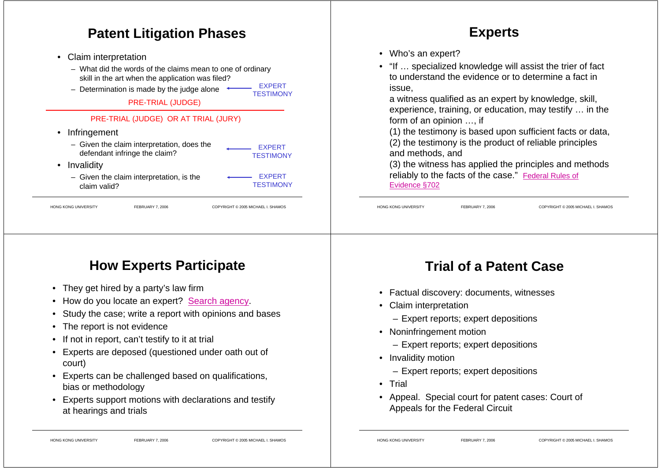#### **Patent Litigation Phases**

- • Claim interpretation
	- What did the words of the claims mean to one of ordinary skill in the art when the application was filed? EXPERT
	- Determination is made by the judge alone

PRE-TRIAL (JUDGE)

#### PRE-TRIAL (JUDGE) OR AT TRIAL (JURY)

- Infringement
	- Given the claim interpretation, does the defendant infringe the claim? **EXPERT TESTIMONY**
- Invalidity
	- Given the claim interpretation, is the claim valid?

EXPERT**TESTIMONY** 

**TESTIMONY** 

HONG KONG UNIVERSITY FEBRUARY 7, 2006 COPYRIGHT © 2005 MICHAEL I. SHAMOS

#### **Experts**

- Who's an expert?
- "If … specialized knowledge will assist the trier of fact to understand the evidence or to determine a fact in issue,

a witness qualified as an expert by knowledge, skill, experience, training, or education, may testify … in the form of an opinion …, if

(1) the testimony is based upon sufficient facts or data, (2) the testimony is the product of reliable principles and methods, and

(3) the witness has applied the principles and methods reliably to the facts of the case." Federal Rules of Evidence §702

HONG KONG UNIVERSITY FEBRUARY 7, 2006 COPYRIGHT © 2005 MICHAEL I. SHAMOS

# **How Experts Participate**

- They get hired by a party's law firm
- How do you locate an expert? Search agency.
- •Study the case; write a report with opinions and bases
- •The report is not evidence
- If not in report, can't testify to it at trial
- Experts are deposed (questioned under oath out of court)
- Experts can be challenged based on qualifications, bias or methodology
- Experts support motions with declarations and testify at hearings and trials

# **Trial of a Patent Case**

- Factual discovery: documents, witnesses
- Claim interpretation
	- Expert reports; expert depositions
- Noninfringement motion
	- Expert reports; expert depositions
- Invalidity motion
	- Expert reports; expert depositions
- Trial
- Appeal. Special court for patent cases: Court of Appeals for the Federal Circuit

- 
- 
-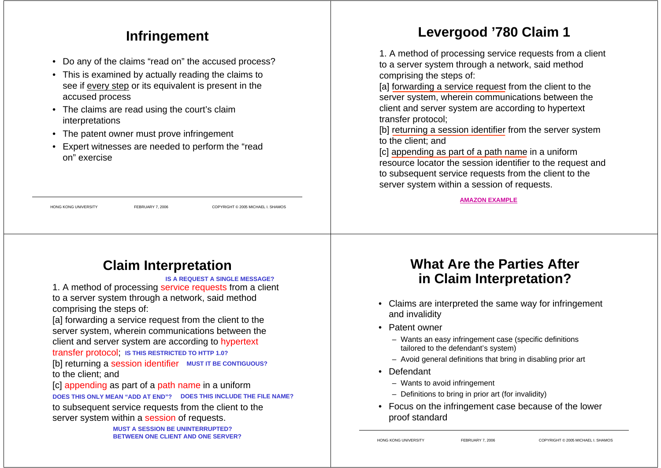## **Infringement**

- Do any of the claims "read on" the accused process?
- This is examined by actually reading the claims to see if every step or its equivalent is present in the accused process
- The claims are read using the court's claim interpretations
- The patent owner must prove infringement
- • Expert witnesses are needed to perform the "read on" exercise

HONG KONG UNIVERSITY FEBRUARY 7, 2006 COPYRIGHT © 2005 MICHAEL I. SHAMOS

# **Claim Interpretation**

**IS A REQUEST A SINGLE MESSAGE?**

1. A method of processing service requests from a client to a server system through a network, said method comprising the steps of:

[a] forwarding a service request from the client to the server system, wherein communications between the client and server system are according to hypertext

#### transfer protocol; **IS THIS RESTRICTED TO HTTP 1.0?**

[b] returning a session identifier MUST IT BE CONTIGUOUS? to the client; and

[c] appending as part of a path name in a uniform

DOES THIS ONLY MEAN "ADD AT END"? DOES THIS INCLUDE THE FILE NAME?

to subsequent service requests from the client to the server system within a session of requests.

> **MUST A SESSION BE UNINTERRUPTED?BETWEEN ONE CLIENT AND ONE SERVER?**

# **Levergood '780 Claim 1**

1. A method of processing service requests from a client to a server system through a network, said method comprising the steps of:

[a] forwarding a service request from the client to the server system, wherein communications between the client and server system are according to hypertext transfer protocol;

[b] returning a session identifier from the server system to the client; and

[c] appending as part of a path name in a uniform resource locator the session identifier to the request and to subsequent service requests from the client to the server system within a session of requests.

**AMAZON EXAMPLE**

#### **What Are the Parties Afterin Claim Interpretation?**

- Claims are interpreted the same way for infringement and invalidity
- Patent owner
	- Wants an easy infringement case (specific definitions tailored to the defendant's system)
	- Avoid general definitions that bring in disabling prior art
- Defendant
	- Wants to avoid infringement
	- Definitions to bring in prior art (for invalidity)
- Focus on the infringement case because of the lower proof standard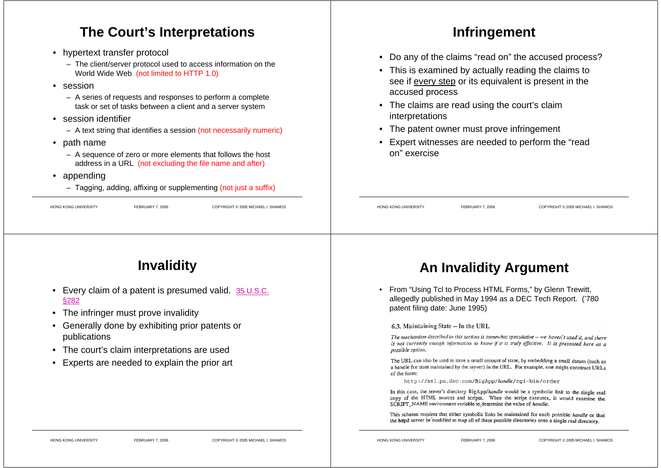#### **The Court's Interpretations**

- hypertext transfer protocol
	- The client/server protocol used to access information on the World Wide Web (not limited to HTTP 1.0)
- session
	- A series of requests and responses to perform a complete task or set of tasks between a client and a server system
- session identifier
	- A text string that identifies a session (not necessarily numeric)
- path name
	- A sequence of zero or more elements that follows the host address in a URL (not excluding the file name and after)
- • appending
	- Tagging, adding, affixing or supplementing (not just a suffix)

| <b>HONG KONG UNIVERSITY</b> |  |
|-----------------------------|--|

HONG KONG UNIVERSITY FEBRUARY 7, 2006 COPYRIGHT © 2005 MICHAEL I. SHAMOS

#### **Infringement**

- Do any of the claims "read on" the accused process?
- This is examined by actually reading the claims to see if every step or its equivalent is present in the accused process
- The claims are read using the court's claim interpretations
- The patent owner must prove infringement
- Expert witnesses are needed to perform the "read on" exercise

HONG KONG UNIVERSITY FEBRUARY 7, 2006 COPYRIGHT © 2005 MICHAEL I. SHAMOS

# **Invalidity**

- Every claim of a patent is presumed valid. 35 U.S.C. §282
- The infringer must prove invalidity
- Generally done by exhibiting prior patents or publications
- The court's claim interpretations are used
- Experts are needed to explain the prior art

## **An Invalidity Argument**

• From "Using Tcl to Process HTML Forms," by Glenn Trewitt, allegedly published in May 1994 as a DEC Tech Report. ('780 patent filing date: June 1995)

#### 6.3. Maintaining State -- In the URL

The mechanism described in this section is somewhat speculative -- we haven't used it, and there is not currently enough information to know if it is truly effective. It is presented here as a possible option.

The URL can also be used to store a small amount of state, by embedding a small datum (such as a handle for state maintained by the server) in the URL. For example, one might construct URLs of the form:

http://nsl.pa.dec.com/BigApp/handle/cgi-bin/order

In this case, the server's directory BigApp/handle would be a symbolic link to the single real copy of the HTML sources and scripts. When the script executes, it would examine the SCRIPT\_NAME environment variable to determine the value of handle.

This scheme requires that either symbolic links be maintained for each possible handle or that the httpd server be modified to map all of these possible directories onto a single real directory.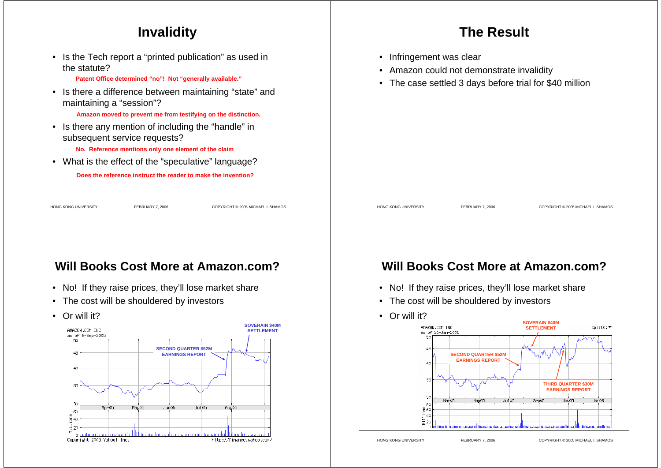#### **Invalidity**

• Is the Tech report a "printed publication" as used in the statute?

**Patent Office determined "no"! Not "generally available."**

• Is there a difference between maintaining "state" and maintaining a "session"?

**Amazon moved to prevent me from testifying on the distinction.**

• Is there any mention of including the "handle" in subsequent service requests?

**No. Reference mentions only one element of the claim**

• What is the effect of the "speculative" language?

**Does the reference instruct the reader to make the invention?**

# HONG KONG UNIVERSITY FEBRUARY 7, 2006 COPYRIGHT © 2005 MICHAEL I. SHAMOS HONG KONG UNIVERSITY FEBRUARY 7, 2006 COPYRIGHT © 2005 MICHAEL I. SHAMOS

#### **Will Books Cost More at Amazon.com?**

- No! If they raise prices, they'll lose market share
- The cost will be shouldered by investors
- Or will it?



#### **Will Books Cost More at Amazon.com?**

**The Result**

Amazon could not demonstrate invalidity

• The case settled 3 days before trial for \$40 million

• Infringement was clear

•

- No! If they raise prices, they'll lose market share
- The cost will be shouldered by investors
- Or will it?

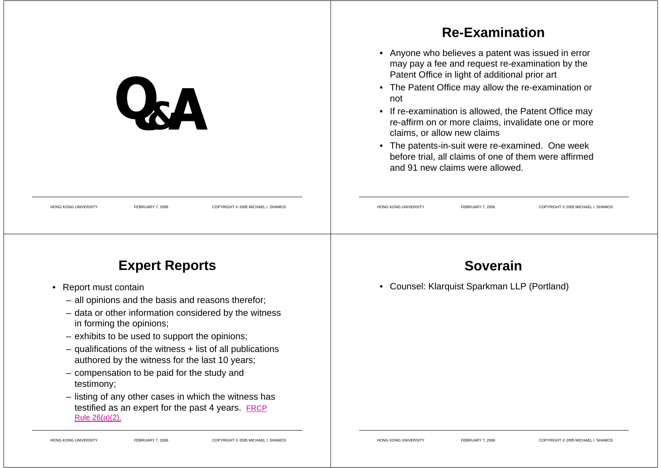|                                                                                       | <b>Re-Examination</b>                                                                                                                                                                                                                                                                                                                                                                                                                                                                                                |
|---------------------------------------------------------------------------------------|----------------------------------------------------------------------------------------------------------------------------------------------------------------------------------------------------------------------------------------------------------------------------------------------------------------------------------------------------------------------------------------------------------------------------------------------------------------------------------------------------------------------|
| $\mathbf{Q}_{2}$ $\mathbf{\Lambda}$                                                   | • Anyone who believes a patent was issued in error<br>may pay a fee and request re-examination by the<br>Patent Office in light of additional prior art<br>• The Patent Office may allow the re-examination or<br>not<br>• If re-examination is allowed, the Patent Office may<br>re-affirm on or more claims, invalidate one or more<br>claims, or allow new claims<br>• The patents-in-suit were re-examined. One week<br>before trial, all claims of one of them were affirmed<br>and 91 new claims were allowed. |
| <b>HONG KONG UNIVERSITY</b><br>FEBRUARY 7, 2006<br>COPYRIGHT © 2005 MICHAEL I. SHAMOS | HONG KONG UNIVERSITY<br>FEBRUARY 7, 2006<br>COPYRIGHT © 2005 MICHAEL I. SHAMOS                                                                                                                                                                                                                                                                                                                                                                                                                                       |
| <b>Expert Reports</b>                                                                 | <b>Soverain</b>                                                                                                                                                                                                                                                                                                                                                                                                                                                                                                      |

- Report must contain
	- all opinions and the basis and reasons therefor;
	- data or other information considered by the witness in forming the opinions;
	- exhibits to be used to support the opinions;
	- qualifications of the witness + list of all publications authored by the witness for the last 10 years;
	- compensation to be paid for the study and testimony;
	- listing of any other cases in which the witness has testified as an expert for the past 4 years. FRCP Rule 26(a)(2).

• Counsel: Klarquist Sparkman LLP (Portland)